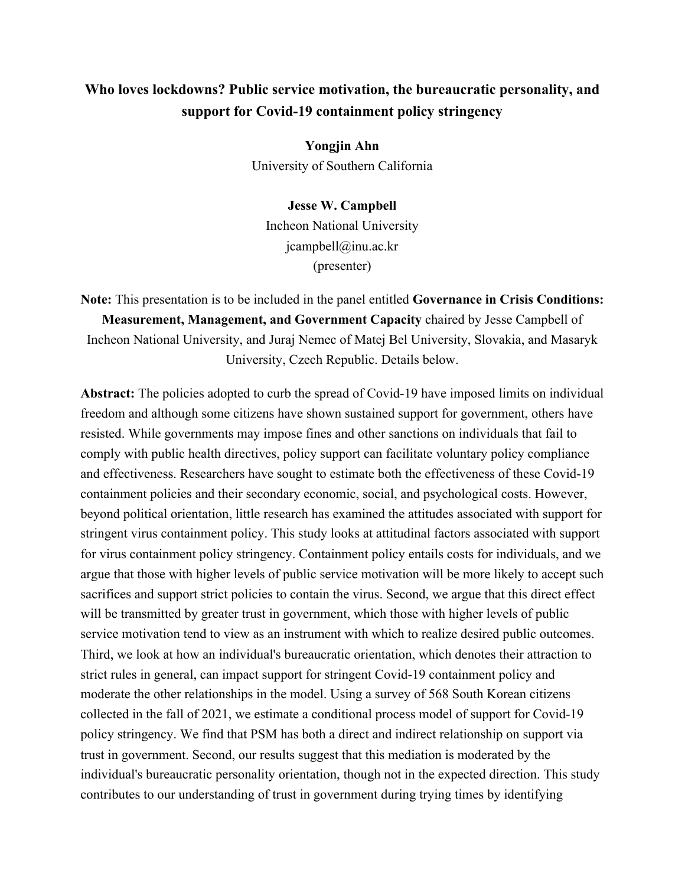## **Who loves lockdowns? Public service motivation, the bureaucratic personality, and support for Covid-19 containment policy stringency**

**Yongjin Ahn** University of Southern California

**Jesse W. Campbell** Incheon National University jcampbell@inu.ac.kr (presenter)

**Note:** This presentation is to be included in the panel entitled **Governance in Crisis Conditions: Measurement, Management, and Government Capacity** chaired by Jesse Campbell of Incheon National University, and Juraj Nemec of Matej Bel University, Slovakia, and Masaryk University, Czech Republic. Details below.

**Abstract:** The policies adopted to curb the spread of Covid-19 have imposed limits on individual freedom and although some citizens have shown sustained support for government, others have resisted. While governments may impose fines and other sanctions on individuals that fail to comply with public health directives, policy support can facilitate voluntary policy compliance and effectiveness. Researchers have sought to estimate both the effectiveness of these Covid-19 containment policies and their secondary economic, social, and psychological costs. However, beyond political orientation, little research has examined the attitudes associated with support for stringent virus containment policy. This study looks at attitudinal factors associated with support for virus containment policy stringency. Containment policy entails costs for individuals, and we argue that those with higher levels of public service motivation will be more likely to accept such sacrifices and support strict policies to contain the virus. Second, we argue that this direct effect will be transmitted by greater trust in government, which those with higher levels of public service motivation tend to view as an instrument with which to realize desired public outcomes. Third, we look at how an individual's bureaucratic orientation, which denotes their attraction to strict rules in general, can impact support for stringent Covid-19 containment policy and moderate the other relationships in the model. Using a survey of 568 South Korean citizens collected in the fall of 2021, we estimate a conditional process model of support for Covid-19 policy stringency. We find that PSM has both a direct and indirect relationship on support via trust in government. Second, our results suggest that this mediation is moderated by the individual's bureaucratic personality orientation, though not in the expected direction. This study contributes to our understanding of trust in government during trying times by identifying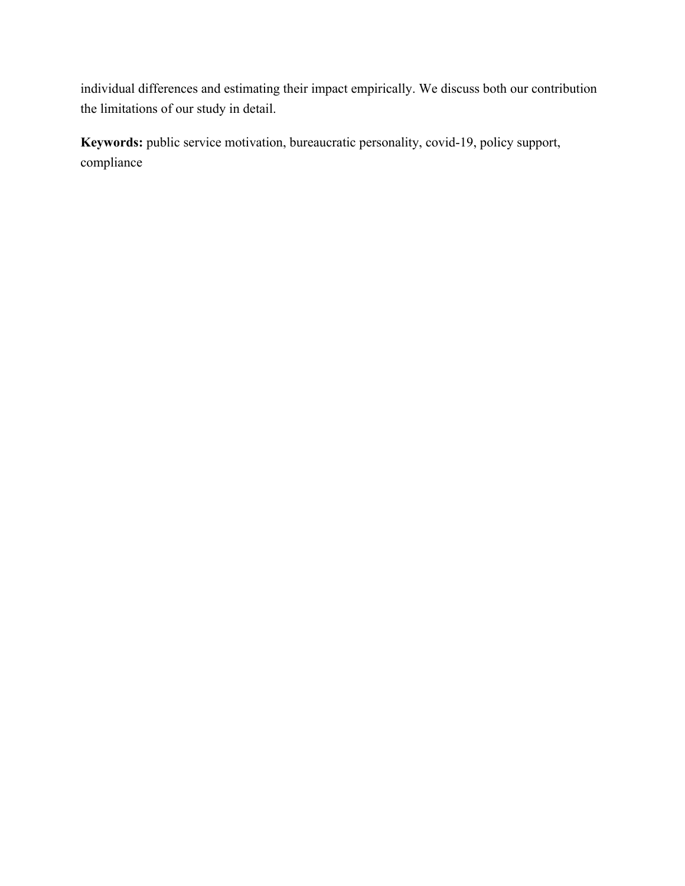individual differences and estimating their impact empirically. We discuss both our contribution the limitations of our study in detail.

**Keywords:** public service motivation, bureaucratic personality, covid-19, policy support, compliance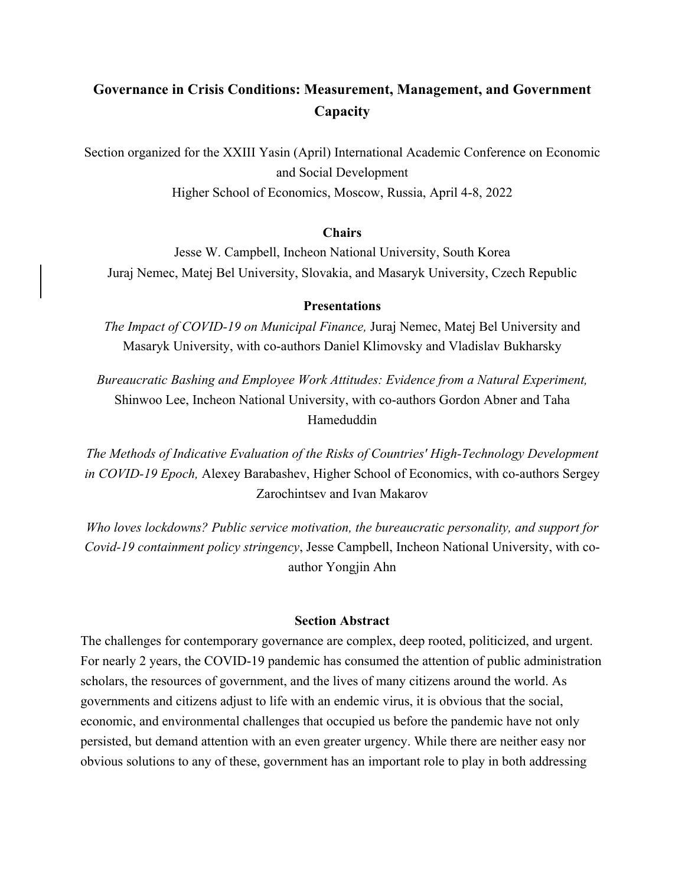# **Governance in Crisis Conditions: Measurement, Management, and Government Capacity**

Section organized for the XXIII Yasin (April) International Academic Conference on Economic and Social Development

Higher School of Economics, Moscow, Russia, April 4-8, 2022

## **Chairs**

Jesse W. Campbell, Incheon National University, South Korea Juraj Nemec, Matej Bel University, Slovakia, and Masaryk University, Czech Republic

#### **Presentations**

*The Impact of COVID-19 on Municipal Finance,* Juraj Nemec, Matej Bel University and Masaryk University, with co-authors Daniel Klimovsky and Vladislav Bukharsky

*Bureaucratic Bashing and Employee Work Attitudes: Evidence from a Natural Experiment,*  Shinwoo Lee, Incheon National University, with co-authors Gordon Abner and Taha Hameduddin

*The Methods of Indicative Evaluation of the Risks of Countries' High-Technology Development in COVID-19 Epoch,* Alexey Barabashev, Higher School of Economics, with co-authors Sergey Zarochintsev and Ivan Makarov

*Who loves lockdowns? Public service motivation, the bureaucratic personality, and support for Covid-19 containment policy stringency*, Jesse Campbell, Incheon National University, with coauthor Yongjin Ahn

## **Section Abstract**

The challenges for contemporary governance are complex, deep rooted, politicized, and urgent. For nearly 2 years, the COVID-19 pandemic has consumed the attention of public administration scholars, the resources of government, and the lives of many citizens around the world. As governments and citizens adjust to life with an endemic virus, it is obvious that the social, economic, and environmental challenges that occupied us before the pandemic have not only persisted, but demand attention with an even greater urgency. While there are neither easy nor obvious solutions to any of these, government has an important role to play in both addressing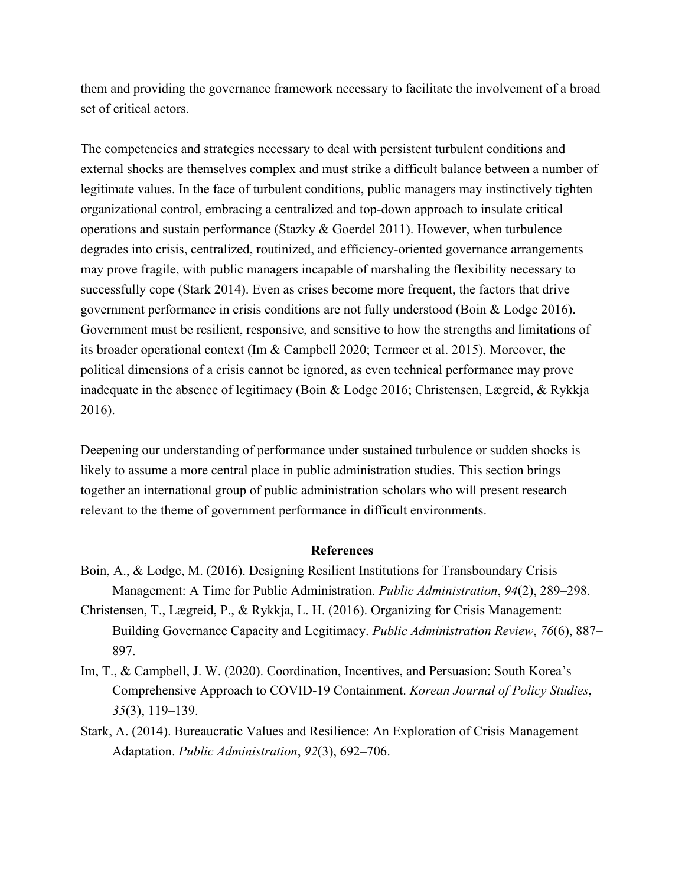them and providing the governance framework necessary to facilitate the involvement of a broad set of critical actors.

The competencies and strategies necessary to deal with persistent turbulent conditions and external shocks are themselves complex and must strike a difficult balance between a number of legitimate values. In the face of turbulent conditions, public managers may instinctively tighten organizational control, embracing a centralized and top-down approach to insulate critical operations and sustain performance (Stazky & Goerdel 2011). However, when turbulence degrades into crisis, centralized, routinized, and efficiency-oriented governance arrangements may prove fragile, with public managers incapable of marshaling the flexibility necessary to successfully cope (Stark 2014). Even as crises become more frequent, the factors that drive government performance in crisis conditions are not fully understood (Boin & Lodge 2016). Government must be resilient, responsive, and sensitive to how the strengths and limitations of its broader operational context (Im & Campbell 2020; Termeer et al. 2015). Moreover, the political dimensions of a crisis cannot be ignored, as even technical performance may prove inadequate in the absence of legitimacy (Boin & Lodge 2016; Christensen, Lægreid, & Rykkja 2016).

Deepening our understanding of performance under sustained turbulence or sudden shocks is likely to assume a more central place in public administration studies. This section brings together an international group of public administration scholars who will present research relevant to the theme of government performance in difficult environments.

## **References**

- Boin, A., & Lodge, M. (2016). Designing Resilient Institutions for Transboundary Crisis Management: A Time for Public Administration. *Public Administration*, *94*(2), 289–298.
- Christensen, T., Lægreid, P., & Rykkja, L. H. (2016). Organizing for Crisis Management: Building Governance Capacity and Legitimacy. *Public Administration Review*, *76*(6), 887– 897.
- Im, T., & Campbell, J. W. (2020). Coordination, Incentives, and Persuasion: South Korea's Comprehensive Approach to COVID-19 Containment. *Korean Journal of Policy Studies*, *35*(3), 119–139.
- Stark, A. (2014). Bureaucratic Values and Resilience: An Exploration of Crisis Management Adaptation. *Public Administration*, *92*(3), 692–706.